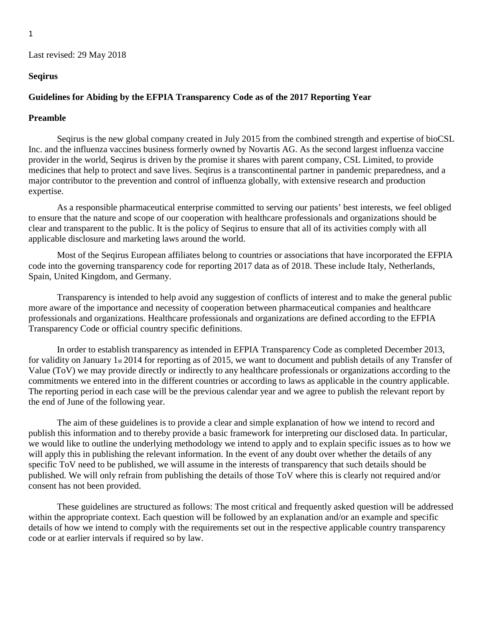### **Seqirus**

#### **Guidelines for Abiding by the EFPIA Transparency Code as of the 2017 Reporting Year**

#### **Preamble**

Seqirus is the new global company created in July 2015 from the combined strength and expertise of bioCSL Inc. and the influenza vaccines business formerly owned by Novartis AG. As the second largest influenza vaccine provider in the world, Seqirus is driven by the promise it shares with parent company, CSL Limited, to provide medicines that help to protect and save lives. Seqirus is a transcontinental partner in pandemic preparedness, and a major contributor to the prevention and control of influenza globally, with extensive research and production expertise.

As a responsible pharmaceutical enterprise committed to serving our patients' best interests, we feel obliged to ensure that the nature and scope of our cooperation with healthcare professionals and organizations should be clear and transparent to the public. It is the policy of Seqirus to ensure that all of its activities comply with all applicable disclosure and marketing laws around the world.

Most of the Seqirus European affiliates belong to countries or associations that have incorporated the EFPIA code into the governing transparency code for reporting 2017 data as of 2018. These include Italy, Netherlands, Spain, United Kingdom, and Germany.

Transparency is intended to help avoid any suggestion of conflicts of interest and to make the general public more aware of the importance and necessity of cooperation between pharmaceutical companies and healthcare professionals and organizations. Healthcare professionals and organizations are defined according to the EFPIA Transparency Code or official country specific definitions.

In order to establish transparency as intended in EFPIA Transparency Code as completed December 2013, for validity on January 1st 2014 for reporting as of 2015, we want to document and publish details of any Transfer of Value (ToV) we may provide directly or indirectly to any healthcare professionals or organizations according to the commitments we entered into in the different countries or according to laws as applicable in the country applicable. The reporting period in each case will be the previous calendar year and we agree to publish the relevant report by the end of June of the following year.

The aim of these guidelines is to provide a clear and simple explanation of how we intend to record and publish this information and to thereby provide a basic framework for interpreting our disclosed data. In particular, we would like to outline the underlying methodology we intend to apply and to explain specific issues as to how we will apply this in publishing the relevant information. In the event of any doubt over whether the details of any specific ToV need to be published, we will assume in the interests of transparency that such details should be published. We will only refrain from publishing the details of those ToV where this is clearly not required and/or consent has not been provided.

These guidelines are structured as follows: The most critical and frequently asked question will be addressed within the appropriate context. Each question will be followed by an explanation and/or an example and specific details of how we intend to comply with the requirements set out in the respective applicable country transparency code or at earlier intervals if required so by law.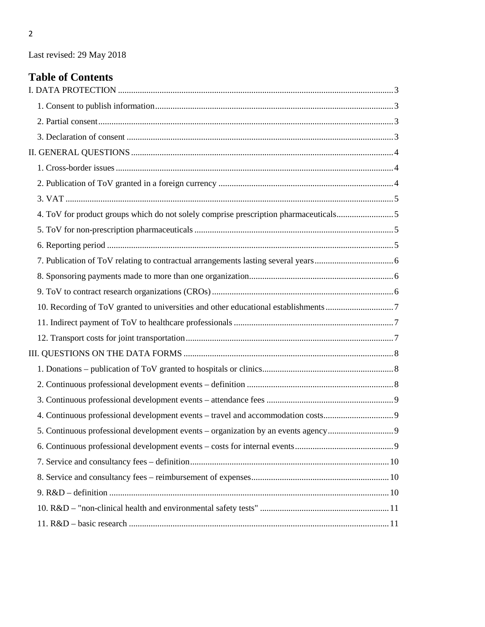# **Table of Contents**

<span id="page-1-0"></span>

| 4. ToV for product groups which do not solely comprise prescription pharmaceuticals5 |  |
|--------------------------------------------------------------------------------------|--|
|                                                                                      |  |
|                                                                                      |  |
|                                                                                      |  |
|                                                                                      |  |
|                                                                                      |  |
|                                                                                      |  |
|                                                                                      |  |
|                                                                                      |  |
|                                                                                      |  |
|                                                                                      |  |
|                                                                                      |  |
|                                                                                      |  |
| 4. Continuous professional development events - travel and accommodation costs9      |  |
|                                                                                      |  |
|                                                                                      |  |
|                                                                                      |  |
|                                                                                      |  |
|                                                                                      |  |
|                                                                                      |  |
|                                                                                      |  |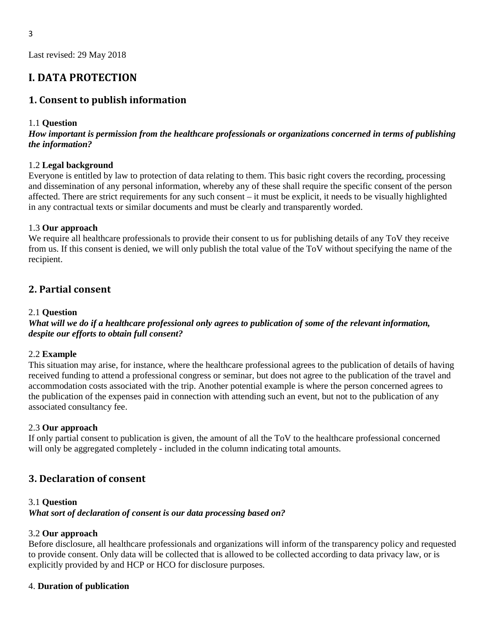# **I. DATA PROTECTION**

### <span id="page-2-0"></span>**1. Consent to publish information**

### 1.1 **Question**

*How important is permission from the healthcare professionals or organizations concerned in terms of publishing the information?* 

#### 1.2 **Legal background**

Everyone is entitled by law to protection of data relating to them. This basic right covers the recording, processing and dissemination of any personal information, whereby any of these shall require the specific consent of the person affected. There are strict requirements for any such consent – it must be explicit, it needs to be visually highlighted in any contractual texts or similar documents and must be clearly and transparently worded.

#### 1.3 **Our approach**

We require all healthcare professionals to provide their consent to us for publishing details of any ToV they receive from us. If this consent is denied, we will only publish the total value of the ToV without specifying the name of the recipient.

### <span id="page-2-1"></span>**2. Partial consent**

#### 2.1 **Question**

*What will we do if a healthcare professional only agrees to publication of some of the relevant information, despite our efforts to obtain full consent?* 

#### 2.2 **Example**

This situation may arise, for instance, where the healthcare professional agrees to the publication of details of having received funding to attend a professional congress or seminar, but does not agree to the publication of the travel and accommodation costs associated with the trip. Another potential example is where the person concerned agrees to the publication of the expenses paid in connection with attending such an event, but not to the publication of any associated consultancy fee.

#### 2.3 **Our approach**

If only partial consent to publication is given, the amount of all the ToV to the healthcare professional concerned will only be aggregated completely - included in the column indicating total amounts.

### <span id="page-2-2"></span>**3. Declaration of consent**

#### 3.1 **Question**

*What sort of declaration of consent is our data processing based on?* 

### 3.2 **Our approach**

Before disclosure, all healthcare professionals and organizations will inform of the transparency policy and requested to provide consent. Only data will be collected that is allowed to be collected according to data privacy law, or is explicitly provided by and HCP or HCO for disclosure purposes.

### 4. **Duration of publication**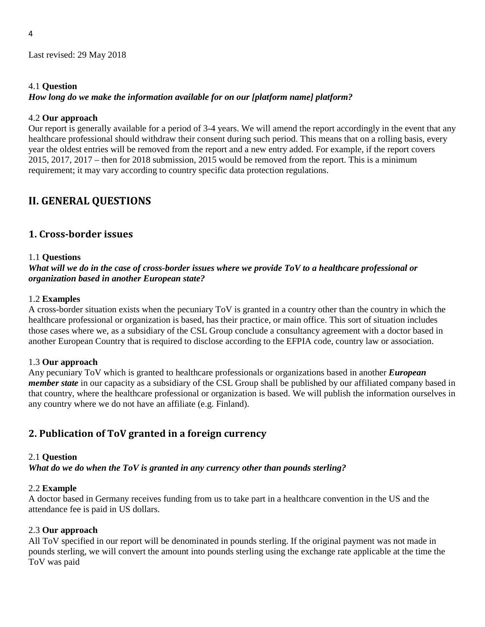#### 4.1 **Question**

#### *How long do we make the information available for on our [platform name] platform?*

#### 4.2 **Our approach**

Our report is generally available for a period of 3-4 years. We will amend the report accordingly in the event that any healthcare professional should withdraw their consent during such period. This means that on a rolling basis, every year the oldest entries will be removed from the report and a new entry added. For example, if the report covers 2015, 2017, 2017 – then for 2018 submission, 2015 would be removed from the report. This is a minimum requirement; it may vary according to country specific data protection regulations.

# <span id="page-3-0"></span>**II. GENERAL QUESTIONS**

### <span id="page-3-1"></span>**1. Cross-border issues**

#### 1.1 **Questions**

### *What will we do in the case of cross-border issues where we provide ToV to a healthcare professional or organization based in another European state?*

#### 1.2 **Examples**

A cross-border situation exists when the pecuniary ToV is granted in a country other than the country in which the healthcare professional or organization is based, has their practice, or main office. This sort of situation includes those cases where we, as a subsidiary of the CSL Group conclude a consultancy agreement with a doctor based in another European Country that is required to disclose according to the EFPIA code, country law or association.

#### 1.3 **Our approach**

Any pecuniary ToV which is granted to healthcare professionals or organizations based in another *European member state* in our capacity as a subsidiary of the CSL Group shall be published by our affiliated company based in that country, where the healthcare professional or organization is based. We will publish the information ourselves in any country where we do not have an affiliate (e.g. Finland).

### <span id="page-3-2"></span>**2. Publication of ToV granted in a foreign currency**

#### 2.1 **Question**

*What do we do when the ToV is granted in any currency other than pounds sterling?* 

#### 2.2 **Example**

A doctor based in Germany receives funding from us to take part in a healthcare convention in the US and the attendance fee is paid in US dollars.

#### 2.3 **Our approach**

All ToV specified in our report will be denominated in pounds sterling. If the original payment was not made in pounds sterling, we will convert the amount into pounds sterling using the exchange rate applicable at the time the ToV was paid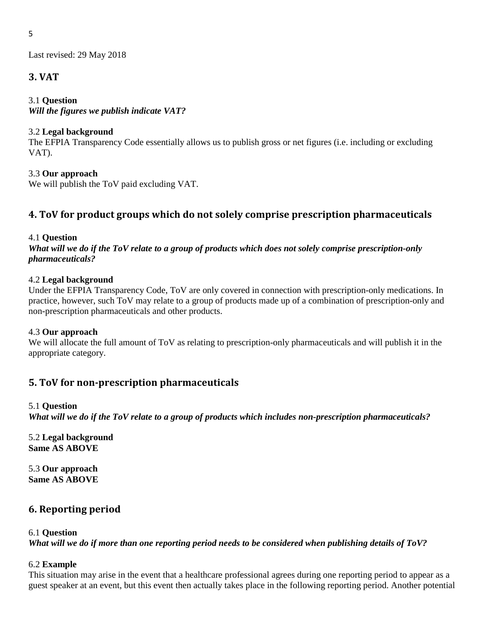### <span id="page-4-0"></span>**3. VAT**

### 3.1 **Question**

*Will the figures we publish indicate VAT?* 

### 3.2 **Legal background**

The EFPIA Transparency Code essentially allows us to publish gross or net figures (i.e. including or excluding VAT).

3.3 **Our approach** 

We will publish the ToV paid excluding VAT.

# <span id="page-4-1"></span>**4. ToV for product groups which do not solely comprise prescription pharmaceuticals**

### 4.1 **Question**

*What will we do if the ToV relate to a group of products which does not solely comprise prescription-only pharmaceuticals?* 

### 4.2 **Legal background**

Under the EFPIA Transparency Code, ToV are only covered in connection with prescription-only medications. In practice, however, such ToV may relate to a group of products made up of a combination of prescription-only and non-prescription pharmaceuticals and other products.

### 4.3 **Our approach**

We will allocate the full amount of ToV as relating to prescription-only pharmaceuticals and will publish it in the appropriate category.

# <span id="page-4-2"></span>**5. ToV for non-prescription pharmaceuticals**

### 5.1 **Question**

*What will we do if the ToV relate to a group of products which includes non-prescription pharmaceuticals?* 

5.2 **Legal background Same AS ABOVE** 

5.3 **Our approach Same AS ABOVE** 

### <span id="page-4-3"></span>**6. Reporting period**

### 6.1 **Question**

*What will we do if more than one reporting period needs to be considered when publishing details of ToV?*

### 6.2 **Example**

This situation may arise in the event that a healthcare professional agrees during one reporting period to appear as a guest speaker at an event, but this event then actually takes place in the following reporting period. Another potential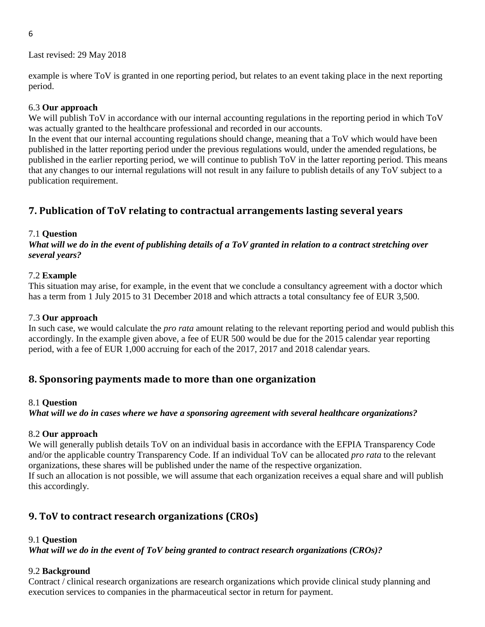6

Last revised: 29 May 2018

example is where ToV is granted in one reporting period, but relates to an event taking place in the next reporting period.

### 6.3 **Our approach**

We will publish ToV in accordance with our internal accounting regulations in the reporting period in which ToV was actually granted to the healthcare professional and recorded in our accounts.

In the event that our internal accounting regulations should change, meaning that a ToV which would have been published in the latter reporting period under the previous regulations would, under the amended regulations, be published in the earlier reporting period, we will continue to publish ToV in the latter reporting period. This means that any changes to our internal regulations will not result in any failure to publish details of any ToV subject to a publication requirement.

# <span id="page-5-0"></span>**7. Publication of ToV relating to contractual arrangements lasting several years**

### 7.1 **Question**

*What will we do in the event of publishing details of a ToV granted in relation to a contract stretching over several years?* 

### 7.2 **Example**

This situation may arise, for example, in the event that we conclude a consultancy agreement with a doctor which has a term from 1 July 2015 to 31 December 2018 and which attracts a total consultancy fee of EUR 3,500.

### 7.3 **Our approach**

In such case, we would calculate the *pro rata* amount relating to the relevant reporting period and would publish this accordingly. In the example given above, a fee of EUR 500 would be due for the 2015 calendar year reporting period, with a fee of EUR 1,000 accruing for each of the 2017, 2017 and 2018 calendar years.

### <span id="page-5-1"></span>**8. Sponsoring payments made to more than one organization**

### 8.1 **Question**

*What will we do in cases where we have a sponsoring agreement with several healthcare organizations?* 

### 8.2 **Our approach**

We will generally publish details ToV on an individual basis in accordance with the EFPIA Transparency Code and/or the applicable country Transparency Code. If an individual ToV can be allocated *pro rata* to the relevant organizations, these shares will be published under the name of the respective organization. If such an allocation is not possible, we will assume that each organization receives a equal share and will publish this accordingly.

# <span id="page-5-2"></span>**9. ToV to contract research organizations (CROs)**

### 9.1 **Question**

*What will we do in the event of ToV being granted to contract research organizations (CROs)?* 

### 9.2 **Background**

Contract / clinical research organizations are research organizations which provide clinical study planning and execution services to companies in the pharmaceutical sector in return for payment.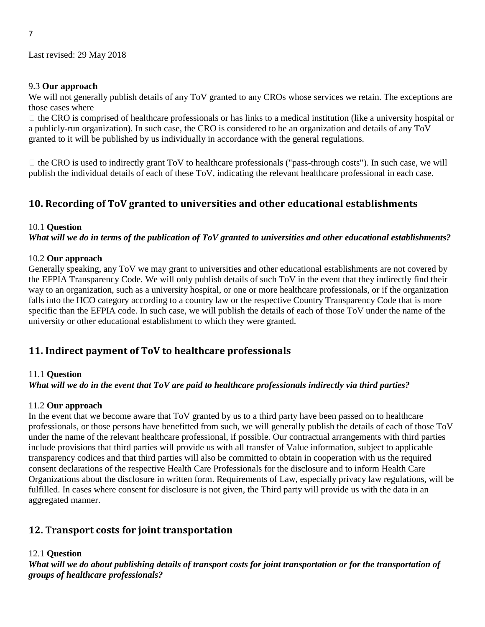#### 9.3 **Our approach**

We will not generally publish details of any ToV granted to any CROs whose services we retain. The exceptions are those cases where

 $\Box$  the CRO is comprised of healthcare professionals or has links to a medical institution (like a university hospital or a publicly-run organization). In such case, the CRO is considered to be an organization and details of any ToV granted to it will be published by us individually in accordance with the general regulations.

 $\Box$  the CRO is used to indirectly grant ToV to healthcare professionals ("pass-through costs"). In such case, we will publish the individual details of each of these ToV, indicating the relevant healthcare professional in each case.

### <span id="page-6-0"></span>**10. Recording of ToV granted to universities and other educational establishments**

#### 10.1 **Question**

*What will we do in terms of the publication of ToV granted to universities and other educational establishments?* 

#### 10.2 **Our approach**

Generally speaking, any ToV we may grant to universities and other educational establishments are not covered by the EFPIA Transparency Code. We will only publish details of such ToV in the event that they indirectly find their way to an organization, such as a university hospital, or one or more healthcare professionals, or if the organization falls into the HCO category according to a country law or the respective Country Transparency Code that is more specific than the EFPIA code. In such case, we will publish the details of each of those ToV under the name of the university or other educational establishment to which they were granted.

### <span id="page-6-1"></span>**11. Indirect payment of ToV to healthcare professionals**

#### 11.1 **Question**

### *What will we do in the event that ToV are paid to healthcare professionals indirectly via third parties?*

### 11.2 **Our approach**

In the event that we become aware that ToV granted by us to a third party have been passed on to healthcare professionals, or those persons have benefitted from such, we will generally publish the details of each of those ToV under the name of the relevant healthcare professional, if possible. Our contractual arrangements with third parties include provisions that third parties will provide us with all transfer of Value information, subject to applicable transparency codices and that third parties will also be committed to obtain in cooperation with us the required consent declarations of the respective Health Care Professionals for the disclosure and to inform Health Care Organizations about the disclosure in written form. Requirements of Law, especially privacy law regulations, will be fulfilled. In cases where consent for disclosure is not given, the Third party will provide us with the data in an aggregated manner.

### <span id="page-6-2"></span>**12. Transport costs for joint transportation**

### 12.1 **Question**

*What will we do about publishing details of transport costs for joint transportation or for the transportation of groups of healthcare professionals?*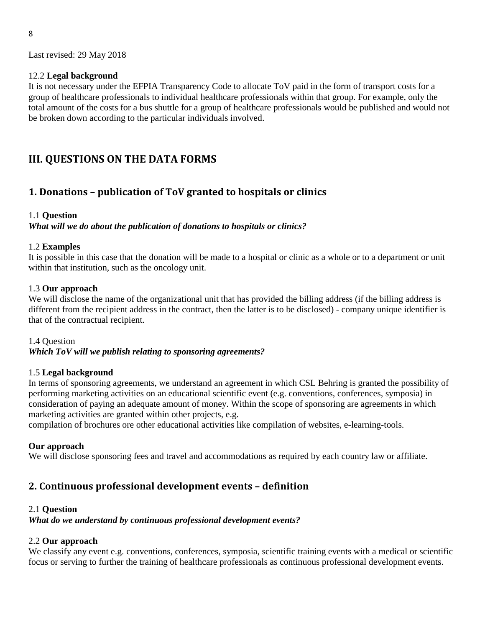### 12.2 **Legal background**

It is not necessary under the EFPIA Transparency Code to allocate ToV paid in the form of transport costs for a group of healthcare professionals to individual healthcare professionals within that group. For example, only the total amount of the costs for a bus shuttle for a group of healthcare professionals would be published and would not be broken down according to the particular individuals involved.

# <span id="page-7-0"></span>**III. QUESTIONS ON THE DATA FORMS**

### <span id="page-7-1"></span>**1. Donations – publication of ToV granted to hospitals or clinics**

### 1.1 **Question**

*What will we do about the publication of donations to hospitals or clinics?* 

#### 1.2 **Examples**

It is possible in this case that the donation will be made to a hospital or clinic as a whole or to a department or unit within that institution, such as the oncology unit.

#### 1.3 **Our approach**

We will disclose the name of the organizational unit that has provided the billing address (if the billing address is different from the recipient address in the contract, then the latter is to be disclosed) - company unique identifier is that of the contractual recipient.

1.4 Question *Which ToV will we publish relating to sponsoring agreements?* 

### 1.5 **Legal background**

In terms of sponsoring agreements, we understand an agreement in which CSL Behring is granted the possibility of performing marketing activities on an educational scientific event (e.g. conventions, conferences, symposia) in consideration of paying an adequate amount of money. Within the scope of sponsoring are agreements in which marketing activities are granted within other projects, e.g.

compilation of brochures ore other educational activities like compilation of websites, e-learning-tools.

### **Our approach**

We will disclose sponsoring fees and travel and accommodations as required by each country law or affiliate.

### <span id="page-7-2"></span>**2. Continuous professional development events – definition**

#### 2.1 **Question**

*What do we understand by continuous professional development events?* 

### 2.2 **Our approach**

We classify any event e.g. conventions, conferences, symposia, scientific training events with a medical or scientific focus or serving to further the training of healthcare professionals as continuous professional development events.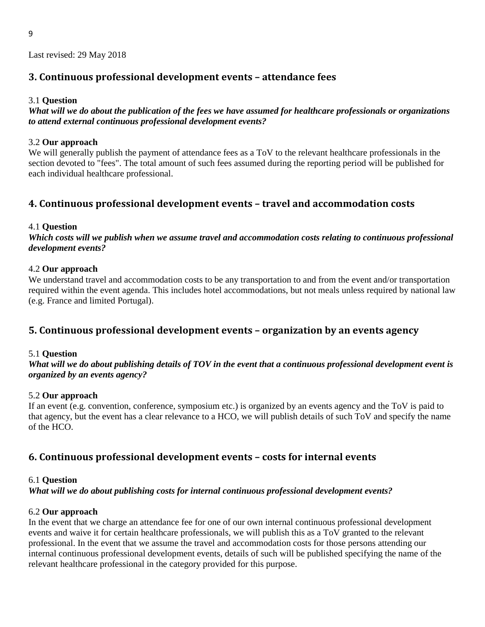### <span id="page-8-0"></span>**3. Continuous professional development events – attendance fees**

### 3.1 **Question**

*What will we do about the publication of the fees we have assumed for healthcare professionals or organizations to attend external continuous professional development events?* 

### 3.2 **Our approach**

We will generally publish the payment of attendance fees as a ToV to the relevant healthcare professionals in the section devoted to "fees". The total amount of such fees assumed during the reporting period will be published for each individual healthcare professional.

### <span id="page-8-1"></span>**4. Continuous professional development events – travel and accommodation costs**

#### 4.1 **Question**

*Which costs will we publish when we assume travel and accommodation costs relating to continuous professional development events?* 

#### 4.2 **Our approach**

We understand travel and accommodation costs to be any transportation to and from the event and/or transportation required within the event agenda. This includes hotel accommodations, but not meals unless required by national law (e.g. France and limited Portugal).

### <span id="page-8-2"></span>**5. Continuous professional development events – organization by an events agency**

### 5.1 **Question**

*What will we do about publishing details of TOV in the event that a continuous professional development event is organized by an events agency?* 

### 5.2 **Our approach**

If an event (e.g. convention, conference, symposium etc.) is organized by an events agency and the ToV is paid to that agency, but the event has a clear relevance to a HCO, we will publish details of such ToV and specify the name of the HCO.

### <span id="page-8-3"></span>**6. Continuous professional development events – costs for internal events**

#### 6.1 **Question**

*What will we do about publishing costs for internal continuous professional development events?* 

### 6.2 **Our approach**

In the event that we charge an attendance fee for one of our own internal continuous professional development events and waive it for certain healthcare professionals, we will publish this as a ToV granted to the relevant professional. In the event that we assume the travel and accommodation costs for those persons attending our internal continuous professional development events, details of such will be published specifying the name of the relevant healthcare professional in the category provided for this purpose.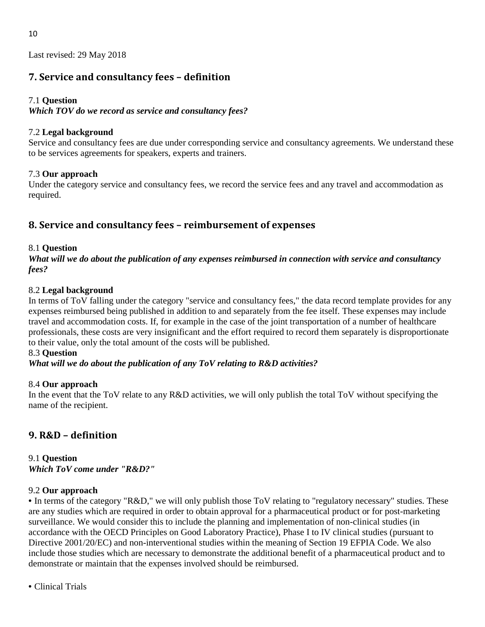# <span id="page-9-0"></span>**7. Service and consultancy fees – definition**

### 7.1 **Question**

*Which TOV do we record as service and consultancy fees?*

### 7.2 **Legal background**

Service and consultancy fees are due under corresponding service and consultancy agreements. We understand these to be services agreements for speakers, experts and trainers.

### 7.3 **Our approach**

Under the category service and consultancy fees, we record the service fees and any travel and accommodation as required.

# <span id="page-9-1"></span>**8. Service and consultancy fees – reimbursement of expenses**

### 8.1 **Question**

*What will we do about the publication of any expenses reimbursed in connection with service and consultancy fees?* 

### 8.2 **Legal background**

In terms of ToV falling under the category "service and consultancy fees," the data record template provides for any expenses reimbursed being published in addition to and separately from the fee itself. These expenses may include travel and accommodation costs. If, for example in the case of the joint transportation of a number of healthcare professionals, these costs are very insignificant and the effort required to record them separately is disproportionate to their value, only the total amount of the costs will be published.

### 8.3 **Question**

### *What will we do about the publication of any ToV relating to R&D activities?*

### 8.4 **Our approach**

In the event that the ToV relate to any R&D activities, we will only publish the total ToV without specifying the name of the recipient.

# <span id="page-9-2"></span>**9. R&D – definition**

### 9.1 **Question**  *Which ToV come under "R&D?"*

### 9.2 **Our approach**

• In terms of the category "R&D," we will only publish those ToV relating to "regulatory necessary" studies. These are any studies which are required in order to obtain approval for a pharmaceutical product or for post-marketing surveillance. We would consider this to include the planning and implementation of non-clinical studies (in accordance with the OECD Principles on Good Laboratory Practice), Phase I to IV clinical studies (pursuant to Directive 2001/20/EC) and non-interventional studies within the meaning of Section 19 EFPIA Code. We also include those studies which are necessary to demonstrate the additional benefit of a pharmaceutical product and to demonstrate or maintain that the expenses involved should be reimbursed.

• Clinical Trials